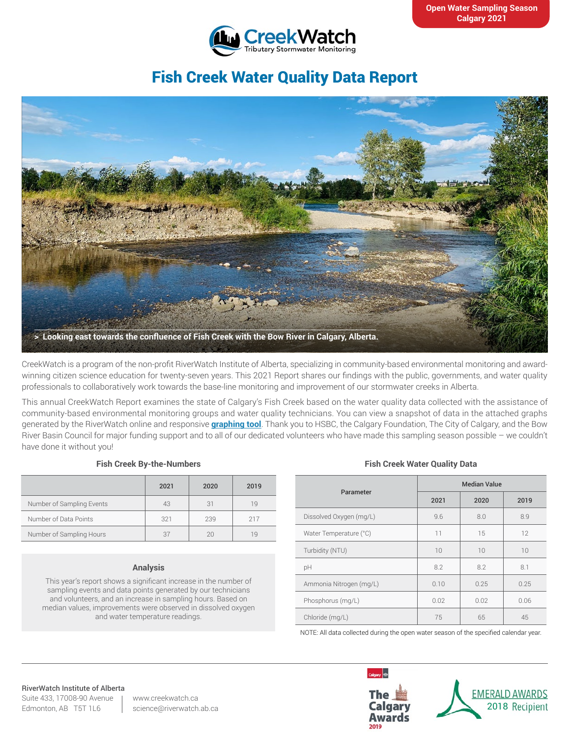

# Fish Creek Water Quality Data Report



CreekWatch is a program of the non-profit RiverWatch Institute of Alberta, specializing in community-based environmental monitoring and awardwinning citizen science education for twenty-seven years. This 2021 Report shares our findings with the public, governments, and water quality professionals to collaboratively work towards the base-line monitoring and improvement of our stormwater creeks in Alberta.

This annual CreekWatch Report examines the state of Calgary's Fish Creek based on the water quality data collected with the assistance of community-based environmental monitoring groups and water quality technicians. You can view a snapshot of data in the attached graphs generated by the RiverWatch online and responsive **[graphing tool](http://www.riverwatch.ab.ca/index.php/science/data)**. Thank you to HSBC, the Calgary Foundation, The City of Calgary, and the Bow River Basin Council for major funding support and to all of our dedicated volunteers who have made this sampling season possible – we couldn't have done it without you!

#### **Fish Creek By-the-Numbers**

|                           | 2021 | 2020 | 2019 |
|---------------------------|------|------|------|
| Number of Sampling Events | 43   | 31   | 19   |
| Number of Data Points     | 321  | 239  | 217  |
| Number of Sampling Hours  | 37   |      | 1 Q  |

#### **Analysis**

This year's report shows a significant increase in the number of sampling events and data points generated by our technicians and volunteers, and an increase in sampling hours. Based on median values, improvements were observed in dissolved oxygen and water temperature readings.

### **Fish Creek Water Quality Data**

| Parameter               | <b>Median Value</b> |      |      |
|-------------------------|---------------------|------|------|
|                         | 2021                | 2020 | 2019 |
| Dissolved Oxygen (mg/L) | 9.6                 | 8.0  | 8.9  |
| Water Temperature (°C)  | 11                  | 15   | 12   |
| Turbidity (NTU)         | 10                  | 10   | 10   |
| pH                      | 8.2                 | 8.2  | 8.1  |
| Ammonia Nitrogen (mg/L) | 0.10                | 0.25 | 0.25 |
| Phosphorus (mg/L)       | 0.02                | 0.02 | 0.06 |
| Chloride (mg/L)         | 75                  | 65   | 45   |

NOTE: All data collected during the open water season of the specified calendar year.

## RiverWatch Institute of Alberta

Suite 433, 17008-90 Avenue Edmonton, AB T5T 1L6

www.creekwatch.ca science@riverwatch.ab.ca